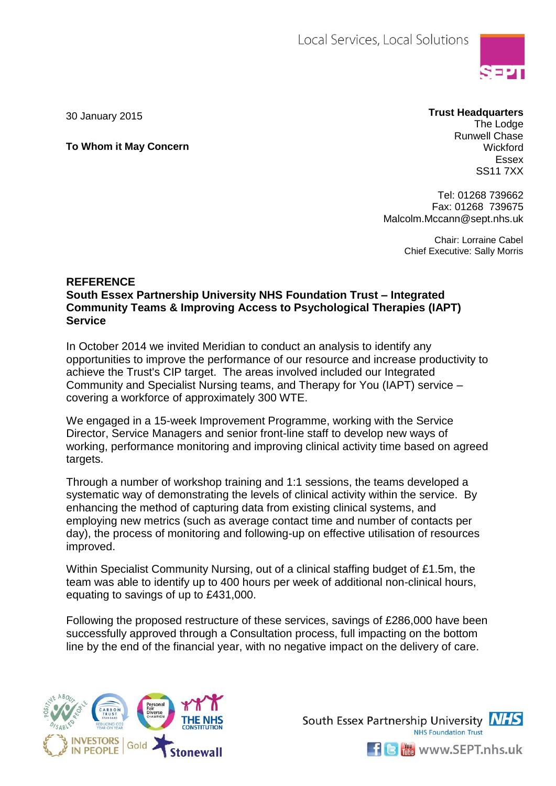

**To Whom it May Concern**

## 30 January 2015 **Trust Headquarters**

The Lodge Runwell Chase **Wickford** Essex SS11 7XX

Tel: 01268 739662 Fax: 01268 739675 Malcolm.Mccann@sept.nhs.uk

> Chair: Lorraine Cabel Chief Executive: Sally Morris

## **REFERENCE**

**South Essex Partnership University NHS Foundation Trust – Integrated Community Teams & Improving Access to Psychological Therapies (IAPT) Service**

In October 2014 we invited Meridian to conduct an analysis to identify any opportunities to improve the performance of our resource and increase productivity to achieve the Trust's CIP target. The areas involved included our Integrated Community and Specialist Nursing teams, and Therapy for You (IAPT) service – covering a workforce of approximately 300 WTE.

We engaged in a 15-week Improvement Programme, working with the Service Director, Service Managers and senior front-line staff to develop new ways of working, performance monitoring and improving clinical activity time based on agreed targets.

Through a number of workshop training and 1:1 sessions, the teams developed a systematic way of demonstrating the levels of clinical activity within the service. By enhancing the method of capturing data from existing clinical systems, and employing new metrics (such as average contact time and number of contacts per day), the process of monitoring and following-up on effective utilisation of resources improved.

Within Specialist Community Nursing, out of a clinical staffing budget of £1.5m, the team was able to identify up to 400 hours per week of additional non-clinical hours, equating to savings of up to £431,000.

Following the proposed restructure of these services, savings of £286,000 have been successfully approved through a Consultation process, full impacting on the bottom line by the end of the financial year, with no negative impact on the delivery of care.





 $\blacksquare$   $\blacksquare$  www.SEPT.nhs.uk